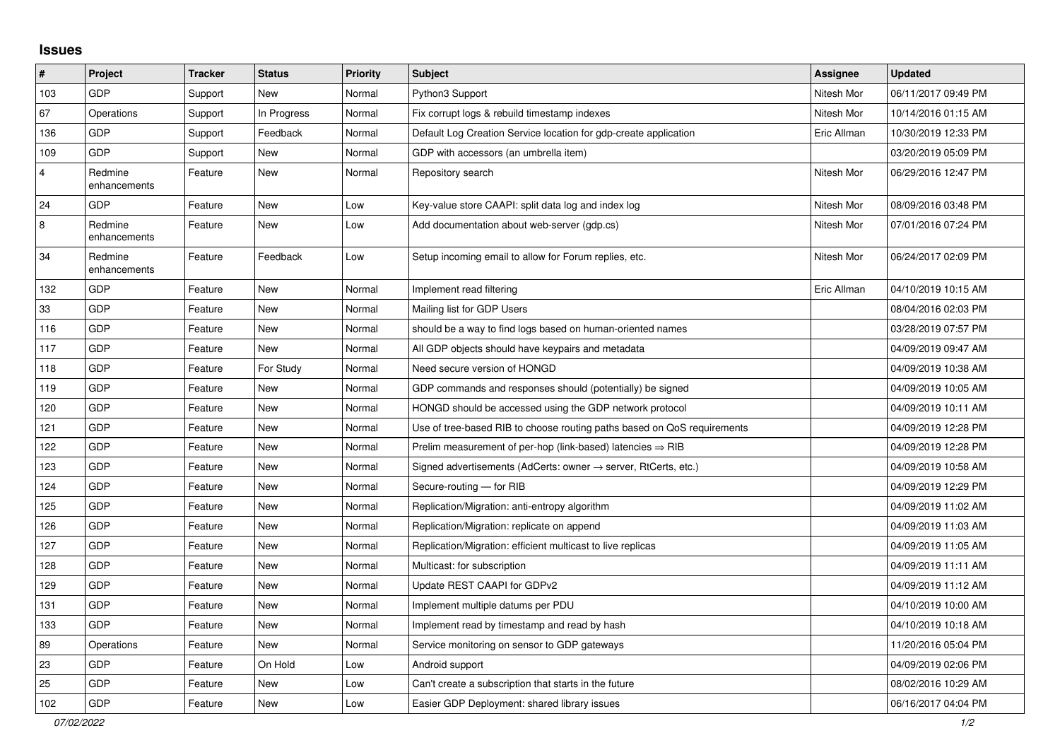## **Issues**

| $\pmb{\#}$              | Project                 | <b>Tracker</b> | <b>Status</b> | <b>Priority</b> | <b>Subject</b>                                                             | Assignee    | <b>Updated</b>      |
|-------------------------|-------------------------|----------------|---------------|-----------------|----------------------------------------------------------------------------|-------------|---------------------|
| 103                     | GDP                     | Support        | <b>New</b>    | Normal          | Python3 Support                                                            | Nitesh Mor  | 06/11/2017 09:49 PM |
| 67                      | Operations              | Support        | In Progress   | Normal          | Fix corrupt logs & rebuild timestamp indexes                               | Nitesh Mor  | 10/14/2016 01:15 AM |
| 136                     | GDP                     | Support        | Feedback      | Normal          | Default Log Creation Service location for gdp-create application           | Eric Allman | 10/30/2019 12:33 PM |
| 109                     | <b>GDP</b>              | Support        | New           | Normal          | GDP with accessors (an umbrella item)                                      |             | 03/20/2019 05:09 PM |
| $\overline{4}$          | Redmine<br>enhancements | Feature        | <b>New</b>    | Normal          | Repository search                                                          | Nitesh Mor  | 06/29/2016 12:47 PM |
| 24                      | <b>GDP</b>              | Feature        | New           | Low             | Key-value store CAAPI: split data log and index log                        | Nitesh Mor  | 08/09/2016 03:48 PM |
| $\overline{\mathbf{8}}$ | Redmine<br>enhancements | Feature        | <b>New</b>    | Low             | Add documentation about web-server (gdp.cs)                                | Nitesh Mor  | 07/01/2016 07:24 PM |
| 34                      | Redmine<br>enhancements | Feature        | Feedback      | Low             | Setup incoming email to allow for Forum replies, etc.                      | Nitesh Mor  | 06/24/2017 02:09 PM |
| 132                     | <b>GDP</b>              | Feature        | New           | Normal          | Implement read filtering                                                   | Eric Allman | 04/10/2019 10:15 AM |
| 33                      | <b>GDP</b>              | Feature        | <b>New</b>    | Normal          | Mailing list for GDP Users                                                 |             | 08/04/2016 02:03 PM |
| 116                     | GDP                     | Feature        | <b>New</b>    | Normal          | should be a way to find logs based on human-oriented names                 |             | 03/28/2019 07:57 PM |
| 117                     | <b>GDP</b>              | Feature        | <b>New</b>    | Normal          | All GDP objects should have keypairs and metadata                          |             | 04/09/2019 09:47 AM |
| 118                     | <b>GDP</b>              | Feature        | For Study     | Normal          | Need secure version of HONGD                                               |             | 04/09/2019 10:38 AM |
| 119                     | <b>GDP</b>              | Feature        | <b>New</b>    | Normal          | GDP commands and responses should (potentially) be signed                  |             | 04/09/2019 10:05 AM |
| 120                     | GDP                     | Feature        | <b>New</b>    | Normal          | HONGD should be accessed using the GDP network protocol                    |             | 04/09/2019 10:11 AM |
| 121                     | GDP                     | Feature        | <b>New</b>    | Normal          | Use of tree-based RIB to choose routing paths based on QoS requirements    |             | 04/09/2019 12:28 PM |
| 122                     | GDP                     | Feature        | <b>New</b>    | Normal          | Prelim measurement of per-hop (link-based) latencies $\Rightarrow$ RIB     |             | 04/09/2019 12:28 PM |
| 123                     | GDP                     | Feature        | <b>New</b>    | Normal          | Signed advertisements (AdCerts: owner $\rightarrow$ server, RtCerts, etc.) |             | 04/09/2019 10:58 AM |
| 124                     | <b>GDP</b>              | Feature        | <b>New</b>    | Normal          | Secure-routing - for RIB                                                   |             | 04/09/2019 12:29 PM |
| 125                     | <b>GDP</b>              | Feature        | New           | Normal          | Replication/Migration: anti-entropy algorithm                              |             | 04/09/2019 11:02 AM |
| 126                     | <b>GDP</b>              | Feature        | <b>New</b>    | Normal          | Replication/Migration: replicate on append                                 |             | 04/09/2019 11:03 AM |
| 127                     | <b>GDP</b>              | Feature        | <b>New</b>    | Normal          | Replication/Migration: efficient multicast to live replicas                |             | 04/09/2019 11:05 AM |
| 128                     | <b>GDP</b>              | Feature        | New           | Normal          | Multicast: for subscription                                                |             | 04/09/2019 11:11 AM |
| 129                     | <b>GDP</b>              | Feature        | New           | Normal          | Update REST CAAPI for GDPv2                                                |             | 04/09/2019 11:12 AM |
| 131                     | GDP                     | Feature        | <b>New</b>    | Normal          | Implement multiple datums per PDU                                          |             | 04/10/2019 10:00 AM |
| 133                     | GDP                     | Feature        | New           | Normal          | Implement read by timestamp and read by hash                               |             | 04/10/2019 10:18 AM |
| 89                      | Operations              | Feature        | <b>New</b>    | Normal          | Service monitoring on sensor to GDP gateways                               |             | 11/20/2016 05:04 PM |
| 23                      | <b>GDP</b>              | Feature        | On Hold       | Low             | Android support                                                            |             | 04/09/2019 02:06 PM |
| 25                      | <b>GDP</b>              | Feature        | New           | Low             | Can't create a subscription that starts in the future                      |             | 08/02/2016 10:29 AM |
| 102                     | GDP                     | Feature        | <b>New</b>    | Low             | Easier GDP Deployment: shared library issues                               |             | 06/16/2017 04:04 PM |